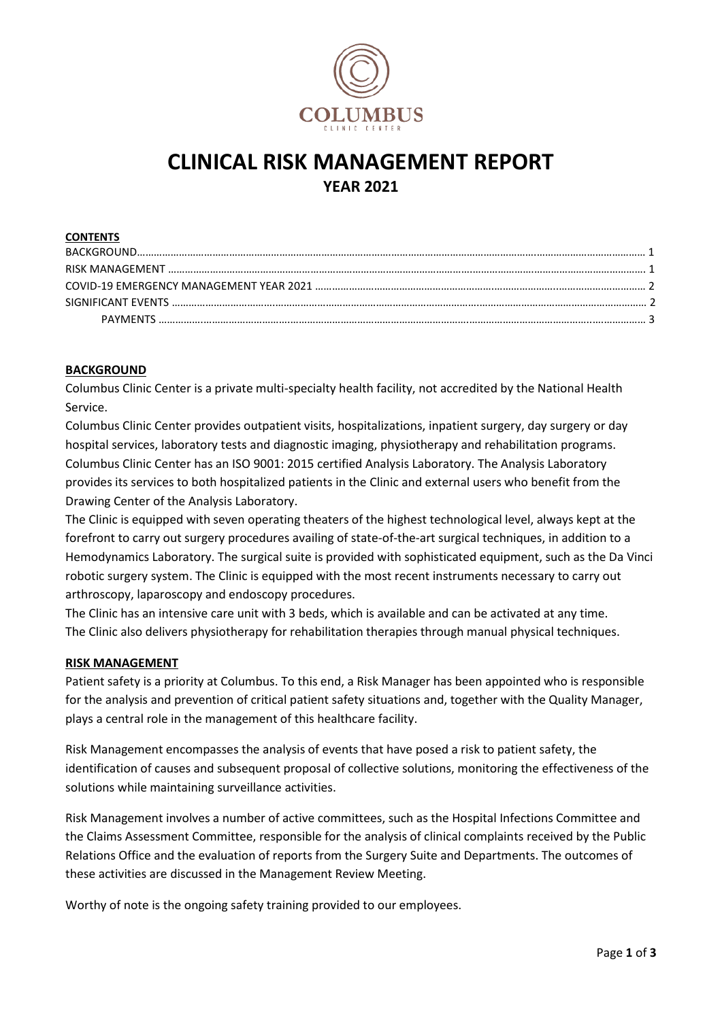

# **CLINICAL RISK MANAGEMENT REPORT YEAR 2021**

#### **CONTENTS**

| <b>PAYMENTS</b> |  |
|-----------------|--|

#### **BACKGROUND**

Columbus Clinic Center is a private multi-specialty health facility, not accredited by the National Health Service.

Columbus Clinic Center provides outpatient visits, hospitalizations, inpatient surgery, day surgery or day hospital services, laboratory tests and diagnostic imaging, physiotherapy and rehabilitation programs. Columbus Clinic Center has an ISO 9001: 2015 certified Analysis Laboratory. The Analysis Laboratory provides its services to both hospitalized patients in the Clinic and external users who benefit from the Drawing Center of the Analysis Laboratory.

The Clinic is equipped with seven operating theaters of the highest technological level, always kept at the forefront to carry out surgery procedures availing of state-of-the-art surgical techniques, in addition to a Hemodynamics Laboratory. The surgical suite is provided with sophisticated equipment, such as the Da Vinci robotic surgery system. The Clinic is equipped with the most recent instruments necessary to carry out arthroscopy, laparoscopy and endoscopy procedures.

The Clinic has an intensive care unit with 3 beds, which is available and can be activated at any time. The Clinic also delivers physiotherapy for rehabilitation therapies through manual physical techniques.

#### **RISK MANAGEMENT**

Patient safety is a priority at Columbus. To this end, a Risk Manager has been appointed who is responsible for the analysis and prevention of critical patient safety situations and, together with the Quality Manager, plays a central role in the management of this healthcare facility.

Risk Management encompasses the analysis of events that have posed a risk to patient safety, the identification of causes and subsequent proposal of collective solutions, monitoring the effectiveness of the solutions while maintaining surveillance activities.

Risk Management involves a number of active committees, such as the Hospital Infections Committee and the Claims Assessment Committee, responsible for the analysis of clinical complaints received by the Public Relations Office and the evaluation of reports from the Surgery Suite and Departments. The outcomes of these activities are discussed in the Management Review Meeting.

Worthy of note is the ongoing safety training provided to our employees.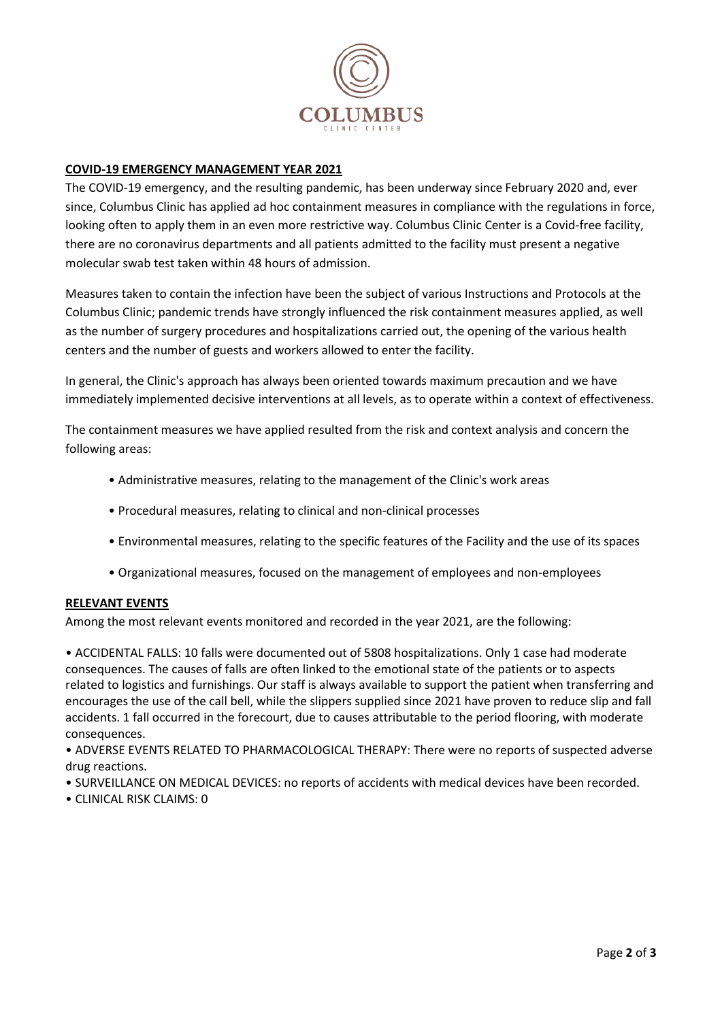

### **COVID-19 EMERGENCY MANAGEMENT YEAR 2021**

The COVID-19 emergency, and the resulting pandemic, has been underway since February 2020 and, ever since, Columbus Clinic has applied ad hoc containment measures in compliance with the regulations in force, looking often to apply them in an even more restrictive way. Columbus Clinic Center is a Covid-free facility, there are no coronavirus departments and all patients admitted to the facility must present a negative molecular swab test taken within 48 hours of admission.

Measures taken to contain the infection have been the subject of various Instructions and Protocols at the Columbus Clinic; pandemic trends have strongly influenced the risk containment measures applied, as well as the number of surgery procedures and hospitalizations carried out, the opening of the various health centers and the number of guests and workers allowed to enter the facility.

In general, the Clinic's approach has always been oriented towards maximum precaution and we have immediately implemented decisive interventions at all levels, as to operate within a context of effectiveness.

The containment measures we have applied resulted from the risk and context analysis and concern the following areas:

- Administrative measures, relating to the management of the Clinic's work areas
- Procedural measures, relating to clinical and non-clinical processes
- Environmental measures, relating to the specific features of the Facility and the use of its spaces
- Organizational measures, focused on the management of employees and non-employees

#### **RELEVANT EVENTS**

Among the most relevant events monitored and recorded in the year 2021, are the following:

• ACCIDENTAL FALLS: 10 falls were documented out of 5808 hospitalizations. Only 1 case had moderate consequences. The causes of falls are often linked to the emotional state of the patients or to aspects related to logistics and furnishings. Our staff is always available to support the patient when transferring and encourages the use of the call bell, while the slippers supplied since 2021 have proven to reduce slip and fall accidents. 1 fall occurred in the forecourt, due to causes attributable to the period flooring, with moderate consequences.

• ADVERSE EVENTS RELATED TO PHARMACOLOGICAL THERAPY: There were no reports of suspected adverse drug reactions.

- SURVEILLANCE ON MEDICAL DEVICES: no reports of accidents with medical devices have been recorded.
- CLINICAL RISK CLAIMS: 0